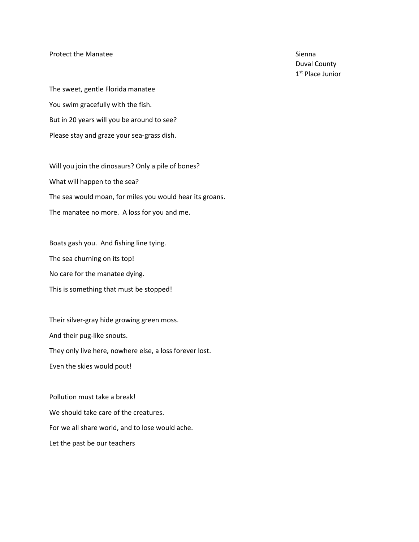## Protect the Manatee Sienna Sienna Sienna Sienna Sienna Sienna Sienna Sienna Sienna Sienna Sienna Sienna Sienna

Duval County 1<sup>st</sup> Place Junior

The sweet, gentle Florida manatee You swim gracefully with the fish. But in 20 years will you be around to see? Please stay and graze your sea-grass dish.

Will you join the dinosaurs? Only a pile of bones? What will happen to the sea? The sea would moan, for miles you would hear its groans. The manatee no more. A loss for you and me.

Boats gash you. And fishing line tying. The sea churning on its top! No care for the manatee dying. This is something that must be stopped!

Their silver-gray hide growing green moss. And their pug-like snouts. They only live here, nowhere else, a loss forever lost. Even the skies would pout!

Pollution must take a break! We should take care of the creatures. For we all share world, and to lose would ache. Let the past be our teachers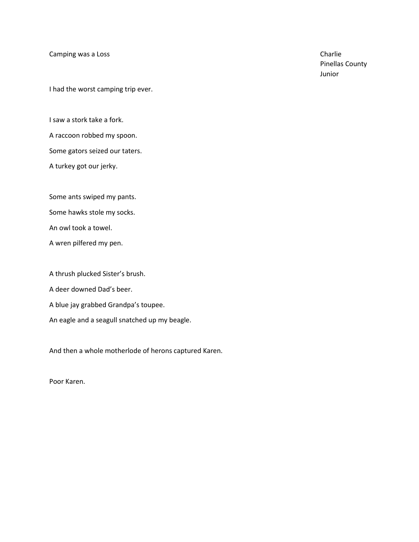Camping was a Loss Charlie Charlie Charlie Charlie Charlie Charlie

I had the worst camping trip ever.

I saw a stork take a fork. A raccoon robbed my spoon. Some gators seized our taters. A turkey got our jerky.

Some ants swiped my pants.

Some hawks stole my socks.

An owl took a towel.

A wren pilfered my pen.

A thrush plucked Sister's brush.

A deer downed Dad's beer.

A blue jay grabbed Grandpa's toupee.

An eagle and a seagull snatched up my beagle.

And then a whole motherlode of herons captured Karen.

Poor Karen.

Pinellas County Junior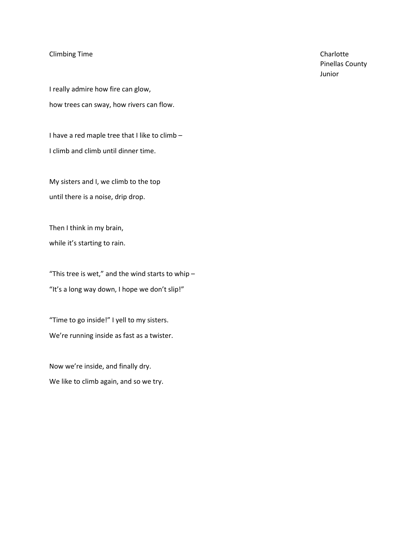## Climbing Time Charlotte

I really admire how fire can glow, how trees can sway, how rivers can flow.

I have a red maple tree that I like to climb – I climb and climb until dinner time.

My sisters and I, we climb to the top until there is a noise, drip drop.

Then I think in my brain, while it's starting to rain.

"This tree is wet," and the wind starts to whip  $-$ "It's a long way down, I hope we don't slip!"

"Time to go inside!" I yell to my sisters. We're running inside as fast as a twister.

Now we're inside, and finally dry. We like to climb again, and so we try. Pinellas County Junior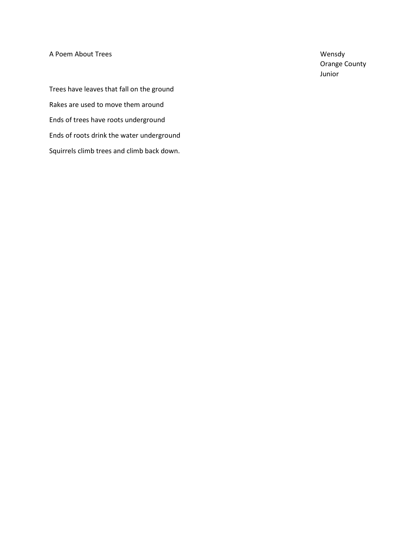A Poem About Trees Wensdy

Orange County Junior

Trees have leaves that fall on the ground Rakes are used to move them around Ends of trees have roots underground Ends of roots drink the water underground Squirrels climb trees and climb back down.